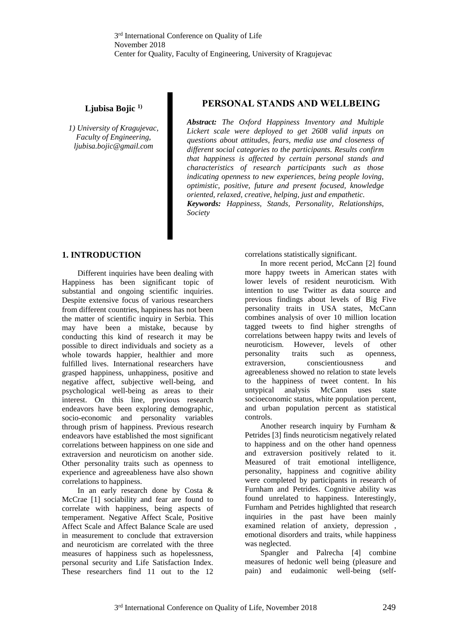# **Ljubisa Bojic 1)**

*1) University of Kragujevac, Faculty of Engineering, ljubisa.bojic@gmail.com*

# **PERSONAL STANDS AND WELLBEING**

*Abstract: The Oxford Happiness Inventory and Multiple Lickert scale were deployed to get 2608 valid inputs on questions about attitudes, fears, media use and closeness of different social categories to the participants. Results confirm that happiness is affected by certain personal stands and characteristics of research participants such as those indicating openness to new experiences, being people loving, optimistic, positive, future and present focused, knowledge oriented, relaxed, creative, helping, just and empathetic. Keywords: Happiness, Stands, Personality, Relationships, Society*

### **1. INTRODUCTION**

Different inquiries have been dealing with Happiness has been significant topic of substantial and ongoing scientific inquiries. Despite extensive focus of various researchers from different countries, happiness has not been the matter of scientific inquiry in Serbia. This may have been a mistake, because by conducting this kind of research it may be possible to direct individuals and society as a whole towards happier, healthier and more fulfilled lives. International researchers have grasped happiness, unhappiness, positive and negative affect, subjective well-being, and psychological well-being as areas to their interest. On this line, previous research endeavors have been exploring demographic, socio-economic and personality variables through prism of happiness. Previous research endeavors have established the most significant correlations between happiness on one side and extraversion and neuroticism on another side. Other personality traits such as openness to experience and agreeableness have also shown correlations to happiness.

In an early research done by Costa & McCrae [1] sociability and fear are found to correlate with happiness, being aspects of temperament. Negative Affect Scale, Positive Affect Scale and Affect Balance Scale are used in measurement to conclude that extraversion and neuroticism are correlated with the three measures of happiness such as hopelessness, personal security and Life Satisfaction Index. These researchers find 11 out to the 12

correlations statistically significant.

In more recent period, McCann [2] found more happy tweets in American states with lower levels of resident neuroticism. With intention to use Twitter as data source and previous findings about levels of Big Five personality traits in USA states, McCann combines analysis of over 10 million location tagged tweets to find higher strengths of correlations between happy twits and levels of neuroticism. However, levels of other personality traits such as openness, extraversion, conscientiousness and agreeableness showed no relation to state levels to the happiness of tweet content. In his untypical analysis McCann uses state socioeconomic status, white population percent, and urban population percent as statistical controls.

Another research inquiry by Furnham & Petrides [3] finds neuroticism negatively related to happiness and on the other hand openness and extraversion positively related to it. Measured of trait emotional intelligence, personality, happiness and cognitive ability were completed by participants in research of Furnham and Petrides. Cognitive ability was found unrelated to happiness. Interestingly, Furnham and Petrides highlighted that research inquiries in the past have been mainly examined relation of anxiety, depression , emotional disorders and traits, while happiness was neglected.

Spangler and Palrecha [4] combine measures of hedonic well being (pleasure and pain) and eudaimonic well-being (self-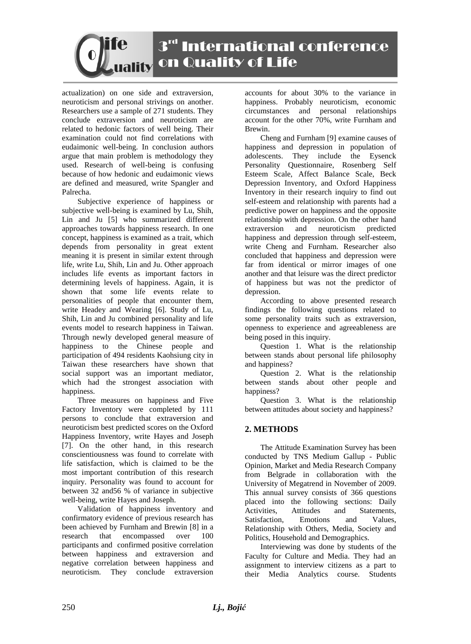# 3rd International conference on Quality of Life

actualization) on one side and extraversion, neuroticism and personal strivings on another. Researchers use a sample of 271 students. They conclude extraversion and neuroticism are related to hedonic factors of well being. Their examination could not find correlations with eudaimonic well-being. In conclusion authors argue that main problem is methodology they used. Research of well-being is confusing because of how hedonic and eudaimonic views are defined and measured, write Spangler and Palrecha.

Subjective experience of happiness or subjective well-being is examined by Lu, Shih, Lin and Ju [5] who summarized different approaches towards happiness research. In one concept, happiness is examined as a trait, which depends from personality in great extent meaning it is present in similar extent through life, write Lu, Shih, Lin and Ju. Other approach includes life events as important factors in determining levels of happiness. Again, it is shown that some life events relate to personalities of people that encounter them, write Headey and Wearing [6]. Study of Lu, Shih, Lin and Ju combined personality and life events model to research happiness in Taiwan. Through newly developed general measure of happiness to the Chinese people and participation of 494 residents Kaohsiung city in Taiwan these researchers have shown that social support was an important mediator, which had the strongest association with happiness.

Three measures on happiness and Five Factory Inventory were completed by 111 persons to conclude that extraversion and neuroticism best predicted scores on the Oxford Happiness Inventory, write Hayes and Joseph [7]. On the other hand, in this research conscientiousness was found to correlate with life satisfaction, which is claimed to be the most important contribution of this research inquiry. Personality was found to account for between 32 and56 % of variance in subjective well-being, write Hayes and Joseph.

Validation of happiness inventory and confirmatory evidence of previous research has been achieved by Furnham and Brewin [8] in a research that encompassed over 100 participants and confirmed positive correlation between happiness and extraversion and negative correlation between happiness and neuroticism. They conclude extraversion accounts for about 30% to the variance in happiness. Probably neuroticism, economic circumstances and personal relationships account for the other 70%, write Furnham and Brewin.

Cheng and Furnham [9] examine causes of happiness and depression in population of adolescents. They include the Eysenck Personality Questionnaire, Rosenberg Self Esteem Scale, Affect Balance Scale, Beck Depression Inventory, and Oxford Happiness Inventory in their research inquiry to find out self-esteem and relationship with parents had a predictive power on happiness and the opposite relationship with depression. On the other hand extraversion and neuroticism predicted happiness and depression through self-esteem, write Cheng and Furnham. Researcher also concluded that happiness and depression were far from identical or mirror images of one another and that leisure was the direct predictor of happiness but was not the predictor of depression.

According to above presented research findings the following questions related to some personality traits such as extraversion, openness to experience and agreeableness are being posed in this inquiry.

Question 1. What is the relationship between stands about personal life philosophy and happiness?

Question 2. What is the relationship between stands about other people and happiness?

Question 3. What is the relationship between attitudes about society and happiness?

## **2. METHODS**

The Attitude Examination Survey has been conducted by TNS Medium Gallup - Public Opinion, Market and Media Research Company from Belgrade in collaboration with the University of Megatrend in November of 2009. This annual survey consists of 366 questions placed into the following sections: Daily Activities, Attitudes and Statements, Satisfaction, Emotions and Values, Relationship with Others, Media, Society and Politics, Household and Demographics.

Interviewing was done by students of the Faculty for Culture and Media. They had an assignment to interview citizens as a part to their Media Analytics course. Students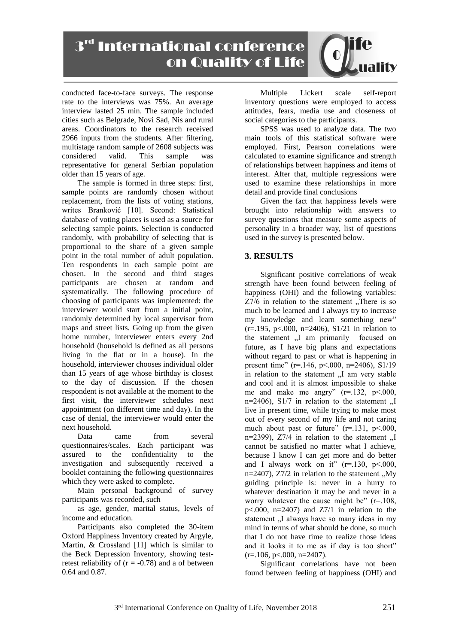3rd International conference on Quality of Life

conducted face-to-face surveys. The response rate to the interviews was 75%. An average interview lasted 25 min. The sample included cities such as Belgrade, Novi Sad, Nis and rural areas. Coordinators to the research received 2966 inputs from the students. After filtering, multistage random sample of 2608 subjects was<br>considered valid. This sample was considered valid. This sample was representative for general Serbian population older than 15 years of age.

The sample is formed in three steps: first, sample points are randomly chosen without replacement, from the lists of voting stations, writes Branković [10]. Second: Statistical database of voting places is used as a source for selecting sample points. Selection is conducted randomly, with probability of selecting that is proportional to the share of a given sample point in the total number of adult population. Ten respondents in each sample point are chosen. In the second and third stages participants are chosen at random and systematically. The following procedure of choosing of participants was implemented: the interviewer would start from a initial point, randomly determined by local supervisor from maps and street lists. Going up from the given home number, interviewer enters every 2nd household (household is defined as all persons living in the flat or in a house). In the household, interviewer chooses individual older than 15 years of age whose birthday is closest to the day of discussion. If the chosen respondent is not available at the moment to the first visit, the interviewer schedules next appointment (on different time and day). In the case of denial, the interviewer would enter the next household.

Data came from several questionnaires/scales. Each participant was assured to the confidentiality to the investigation and subsequently received a booklet containing the following questionnaires which they were asked to complete.

Main personal background of survey participants was recorded, such

as age, gender, marital status, levels of income and education.

Participants also completed the 30-item Oxford Happiness Inventory created by Argyle, Martin, & Crossland [11] which is similar to the Beck Depression Inventory, showing testretest reliability of  $(r = -0.78)$  and a of between 0.64 and 0.87.

Multiple Lickert scale self-report inventory questions were employed to access attitudes, fears, media use and closeness of social categories to the participants.

SPSS was used to analyze data. The two main tools of this statistical software were employed. First, Pearson correlations were calculated to examine significance and strength of relationships between happiness and items of interest. After that, multiple regressions were used to examine these relationships in more detail and provide final conclusions

Given the fact that happiness levels were brought into relationship with answers to survey questions that measure some aspects of personality in a broader way, list of questions used in the survey is presented below.

### **3. RESULTS**

Significant positive correlations of weak strength have been found between feeling of happiness (OHI) and the following variables:  $Z7/6$  in relation to the statement "There is so much to be learned and I always try to increase my knowledge and learn something new"  $(r=.195, p<.000, n=2406)$ ,  $S1/21$  in relation to the statement "I am primarily focused on future, as I have big plans and expectations without regard to past or what is happening in present time" (r=.146, p<.000, n=2406), S1/19 in relation to the statement "I am very stable and cool and it is almost impossible to shake me and make me angry"  $(r=132, p<.000,$ n=2406),  $S1/7$  in relation to the statement ... live in present time, while trying to make most out of every second of my life and not caring much about past or future"  $(r=131, p<.000,$ n=2399),  $Z7/4$  in relation to the statement  $\Pi$ cannot be satisfied no matter what I achieve, because I know I can get more and do better and I always work on it"  $(r=.130, p<.000,$ n=2407),  $Z7/2$  in relation to the statement "My guiding principle is: never in a hurry to whatever destination it may be and never in a worry whatever the cause might be" (r=.108,  $p<.000$ ,  $n=2407$ ) and  $Z7/1$  in relation to the statement "I always have so many ideas in my mind in terms of what should be done, so much that I do not have time to realize those ideas and it looks it to me as if day is too short"  $(r=.106, p<.000, n=2407)$ .

Significant correlations have not been found between feeling of happiness (OHI) and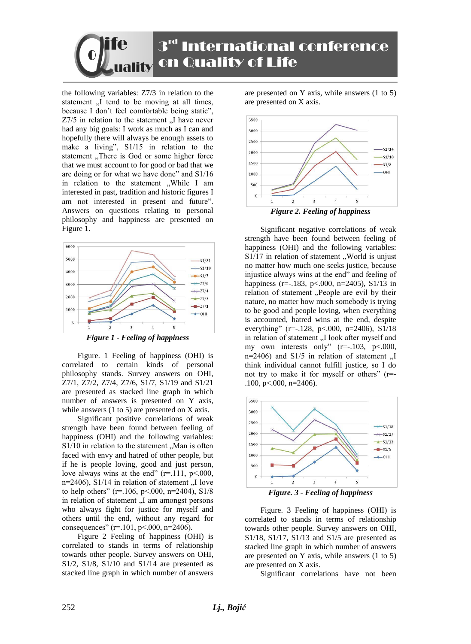

the following variables: Z7/3 in relation to the statement "I tend to be moving at all times, because I don't feel comfortable being static",  $Z7/5$  in relation to the statement  $\mathcal{I}$ . I have never had any big goals: I work as much as I can and hopefully there will always be enough assets to make a living", S1/15 in relation to the statement "There is God or some higher force that we must account to for good or bad that we are doing or for what we have done" and S1/16 in relation to the statement "While I am interested in past, tradition and historic figures I am not interested in present and future". Answers on questions relating to personal philosophy and happiness are presented on Figure 1.



Figure. 1 Feeling of happiness (OHI) is correlated to certain kinds of personal philosophy stands. Survey answers on OHI, Z7/1, Z7/2, Z7/4, Z7/6, S1/7, S1/19 and S1/21 are presented as stacked line graph in which number of answers is presented on Y axis, while answers (1 to 5) are presented on X axis.

Significant positive correlations of weak strength have been found between feeling of happiness (OHI) and the following variables:  $S1/10$  in relation to the statement "Man is often faced with envy and hatred of other people, but if he is people loving, good and just person, love always wins at the end"  $(r=111, p<.000,$ n=2406),  $S1/14$  in relation of statement "I love to help others" ( $r=106$ ,  $p<000$ ,  $n=2404$ ), S1/8 in relation of statement "I am amongst persons who always fight for justice for myself and others until the end, without any regard for consequences" ( $r=101$ ,  $p<000$ ,  $n=2406$ ).

Figure 2 Feeling of happiness (OHI) is correlated to stands in terms of relationship towards other people. Survey answers on OHI, S1/2, S1/8, S1/10 and S1/14 are presented as stacked line graph in which number of answers are presented on Y axis, while answers (1 to 5) are presented on X axis.



Significant negative correlations of weak strength have been found between feeling of happiness (OHI) and the following variables:  $S1/17$  in relation of statement "World is unjust no matter how much one seeks justice, because injustice always wins at the end" and feeling of happiness (r=-.183, p<.000, n=2405), S1/13 in relation of statement "People are evil by their nature, no matter how much somebody is trying to be good and people loving, when everything is accounted, hatred wins at the end, despite everything" (r=-.128, p<.000, n=2406), S1/18 in relation of statement "I look after myself and my own interests only"  $(r=.103, p<.000,$ n=2406) and  $S1/5$  in relation of statement ... think individual cannot fulfill justice, so I do not try to make it for myself or others" (r=- .100, p<.000, n=2406).



*Figure. 3 - Feeling of happiness*

Figure. 3 Feeling of happiness (OHI) is correlated to stands in terms of relationship towards other people. Survey answers on OHI, S1/18, S1/17, S1/13 and S1/5 are presented as stacked line graph in which number of answers are presented on Y axis, while answers (1 to 5) are presented on X axis.

Significant correlations have not been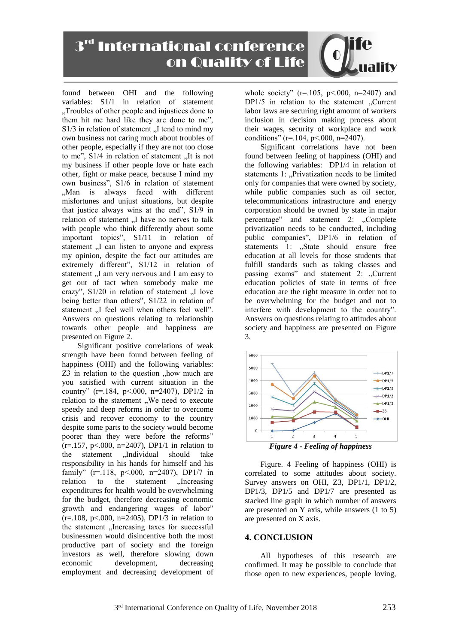3rd International conference on Quality of Life

found between OHI and the following variables: S1/1 in relation of statement "Troubles of other people and injustices done to them hit me hard like they are done to me",  $S1/3$  in relation of statement  $\sqrt{I}$  tend to mind my own business not caring much about troubles of other people, especially if they are not too close to me",  $S1/4$  in relation of statement "It is not my business if other people love or hate each other, fight or make peace, because I mind my own business", S1/6 in relation of statement "Man is always faced with different misfortunes and unjust situations, but despite that justice always wins at the end", S1/9 in relation of statement ..I have no nerves to talk with people who think differently about some important topics", S1/11 in relation of statement .,I can listen to anyone and express my opinion, despite the fact our attitudes are extremely different", S1/12 in relation of statement "I am very nervous and I am easy to get out of tact when somebody make me crazy",  $S1/20$  in relation of statement  $\Lambda$  love being better than others", S1/22 in relation of statement "I feel well when others feel well". Answers on questions relating to relationship towards other people and happiness are presented on Figure 2.

Significant positive correlations of weak strength have been found between feeling of happiness (OHI) and the following variables:  $Z3$  in relation to the question ,, how much are you satisfied with current situation in the country" (r=.184, p<.000, n=2407), DP1/2 in relation to the statement "We need to execute speedy and deep reforms in order to overcome crisis and recover economy to the country despite some parts to the society would become poorer than they were before the reforms"  $(r=.157, p<.000, n=2407)$ , DP1/1 in relation to the statement "Individual should take responsibility in his hands for himself and his family" (r=.118, p<.000, n=2407), DP1/7 in relation to the statement "Increasing expenditures for health would be overwhelming for the budget, therefore decreasing economic growth and endangering wages of labor"  $(r=.108, p<.000, n=2405)$ , DP1/3 in relation to the statement "Increasing taxes for successful businessmen would disincentive both the most productive part of society and the foreign investors as well, therefore slowing down economic development, decreasing employment and decreasing development of

whole society"  $(r=105, p<.000, n=2407)$  and  $DP1/5$  in relation to the statement "Current labor laws are securing right amount of workers inclusion in decision making process about their wages, security of workplace and work conditions" (r=.104, p<.000, n=2407).

Significant correlations have not been found between feeling of happiness (OHI) and the following variables: DP1/4 in relation of statements 1: "Privatization needs to be limited only for companies that were owned by society, while public companies such as oil sector, telecommunications infrastructure and energy corporation should be owned by state in major percentage" and statement 2: "Complete privatization needs to be conducted, including public companies", DP1/6 in relation of statements 1: "State should ensure free education at all levels for those students that fulfill standards such as taking classes and passing exams" and statement 2: "Current education policies of state in terms of free education are the right measure in order not to be overwhelming for the budget and not to interfere with development to the country". Answers on questions relating to attitudes about society and happiness are presented on Figure 3.



Figure. 4 Feeling of happiness (OHI) is correlated to some attitudes about society. Survey answers on OHI, Z3, DP1/1, DP1/2, DP1/3, DP1/5 and DP1/7 are presented as stacked line graph in which number of answers are presented on Y axis, while answers (1 to 5) are presented on X axis.

#### **4. CONCLUSION**

All hypotheses of this research are confirmed. It may be possible to conclude that those open to new experiences, people loving,